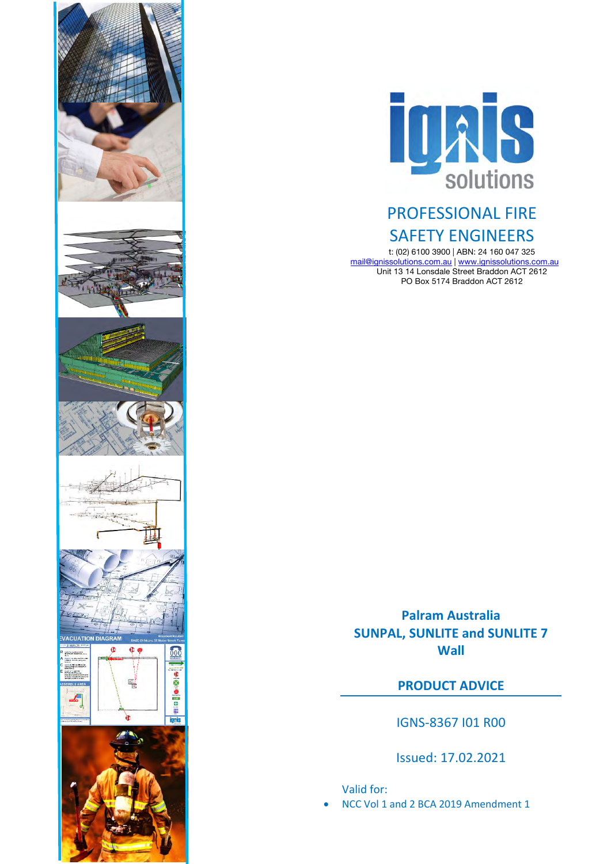



# PROFESSIONAL FIRE SAFETY ENGINEERS

t: (02) 6100 3900 | ABN: 24 160 047 325 mail@ignissolutions.com.au | www.ignissolutions.com.au Unit 13 14 Lonsdale Street Braddon ACT 2612 PO Box 5174 Braddon ACT 2612

**Palram Australia SUNPAL, SUNLITE and SUNLITE 7 Wall**

**PRODUCT ADVICE**

IGNS-8367 I01 R00

Issued: 17.02.2021

Valid for:

• NCC Vol 1 and 2 BCA 2019 Amendment 1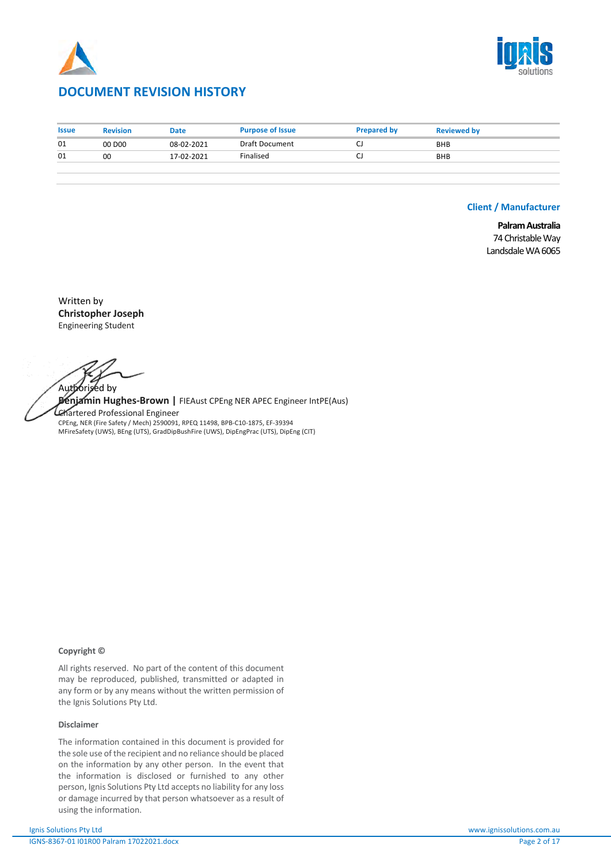



# **DOCUMENT REVISION HISTORY**

| <b>Issue</b> | <b>Revision</b>    | <b>Date</b> | <b>Purpose of Issue</b> | <b>Prepared by</b> | <b>Reviewed by</b> |
|--------------|--------------------|-------------|-------------------------|--------------------|--------------------|
| 01           | 00 D <sub>00</sub> | 08-02-2021  | Draft Document          |                    | <b>BHB</b>         |
| 01           | 00                 | 17-02-2021  | Finalised               |                    | <b>BHB</b>         |
|              |                    |             |                         |                    |                    |

### **Client / Manufacturer**

**Palram Australia** 74 Christable Way Landsdale WA 6065

Written by **Christopher Joseph** Engineering Student

Authorised by

**Benjamin Hughes-Brown |** FIEAust CPEng NER APEC Engineer IntPE(Aus) Chartered Professional Engineer CPEng, NER (Fire Safety / Mech) 2590091, RPEQ 11498, BPB-C10-1875, EF-39394 MFireSafety (UWS), BEng (UTS), GradDipBushFire (UWS), DipEngPrac (UTS), DipEng (CIT)

#### **Copyright ©**

All rights reserved. No part of the content of this document may be reproduced, published, transmitted or adapted in any form or by any means without the written permission of the Ignis Solutions Pty Ltd.

#### **Disclaimer**

The information contained in this document is provided for the sole use of the recipient and no reliance should be placed on the information by any other person. In the event that the information is disclosed or furnished to any other person, Ignis Solutions Pty Ltd accepts no liability for any loss or damage incurred by that person whatsoever as a result of using the information.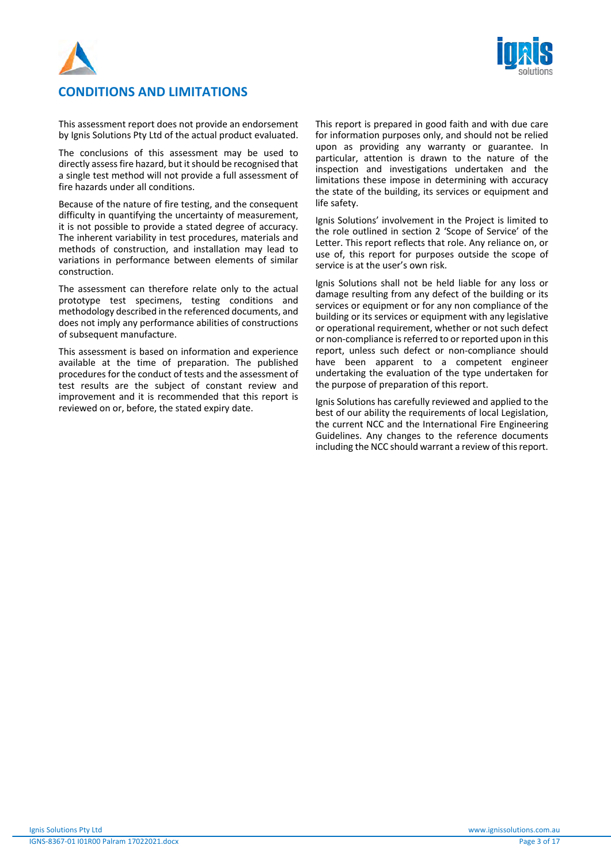



# **CONDITIONS AND LIMITATIONS**

This assessment report does not provide an endorsement by Ignis Solutions Pty Ltd of the actual product evaluated.

The conclusions of this assessment may be used to directly assess fire hazard, but it should be recognised that a single test method will not provide a full assessment of fire hazards under all conditions.

Because of the nature of fire testing, and the consequent difficulty in quantifying the uncertainty of measurement, it is not possible to provide a stated degree of accuracy. The inherent variability in test procedures, materials and methods of construction, and installation may lead to variations in performance between elements of similar construction.

The assessment can therefore relate only to the actual prototype test specimens, testing conditions and methodology described in the referenced documents, and does not imply any performance abilities of constructions of subsequent manufacture.

This assessment is based on information and experience available at the time of preparation. The published procedures for the conduct of tests and the assessment of test results are the subject of constant review and improvement and it is recommended that this report is reviewed on or, before, the stated expiry date.

This report is prepared in good faith and with due care for information purposes only, and should not be relied upon as providing any warranty or guarantee. In particular, attention is drawn to the nature of the inspection and investigations undertaken and the limitations these impose in determining with accuracy the state of the building, its services or equipment and life safety.

Ignis Solutions' involvement in the Project is limited to the role outlined in section 2 'Scope of Service' of the Letter. This report reflects that role. Any reliance on, or use of, this report for purposes outside the scope of service is at the user's own risk.

Ignis Solutions shall not be held liable for any loss or damage resulting from any defect of the building or its services or equipment or for any non compliance of the building or its services or equipment with any legislative or operational requirement, whether or not such defect or non-compliance is referred to or reported upon in this report, unless such defect or non-compliance should have been apparent to a competent engineer undertaking the evaluation of the type undertaken for the purpose of preparation of this report.

Ignis Solutions has carefully reviewed and applied to the best of our ability the requirements of local Legislation, the current NCC and the International Fire Engineering Guidelines. Any changes to the reference documents including the NCC should warrant a review of this report.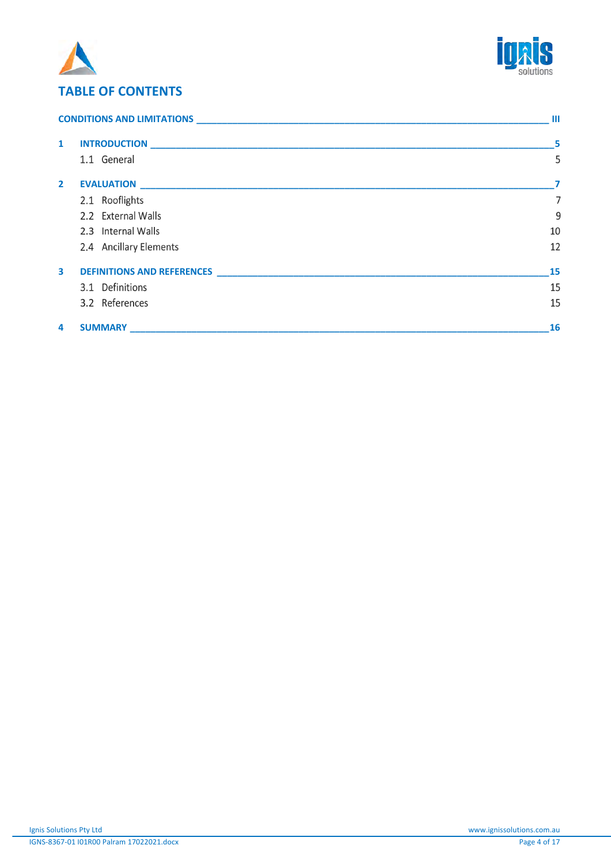



# **TABLE OF CONTENTS**

| CONDITIONS AND LIMITATIONS EXPERIENCE AND RESIDENCE AND RESIDENCE AND RESIDENCE AND RESIDENCE AND RESIDENCE AND RESIDENCE AND RESIDENCE AND RESIDENCE AND RESIDENCE AND RESIDENCE AND RESIDENCE AND RESIDENCE AND RESIDENCE AN |                                                                                      | Ш              |
|--------------------------------------------------------------------------------------------------------------------------------------------------------------------------------------------------------------------------------|--------------------------------------------------------------------------------------|----------------|
| $\mathbf{1}$                                                                                                                                                                                                                   |                                                                                      | - 5            |
|                                                                                                                                                                                                                                | 1.1 General                                                                          | 5              |
| $\mathbf{2}$                                                                                                                                                                                                                   |                                                                                      | 7              |
|                                                                                                                                                                                                                                | 2.1 Rooflights                                                                       | $\overline{7}$ |
|                                                                                                                                                                                                                                | 2.2 External Walls                                                                   | 9              |
|                                                                                                                                                                                                                                | 2.3 Internal Walls                                                                   | 10             |
|                                                                                                                                                                                                                                | 2.4 Ancillary Elements                                                               | 12             |
| $\overline{\mathbf{3}}$                                                                                                                                                                                                        | <b>DEFINITIONS AND REFERENCES EXAMPLE 2008 12:25 THE SET OF STATE AND REFERENCES</b> | 15             |
|                                                                                                                                                                                                                                | 3.1 Definitions                                                                      | 15             |
|                                                                                                                                                                                                                                | 3.2 References                                                                       | 15             |
| 4                                                                                                                                                                                                                              | <b>SUMMARY</b>                                                                       | <b>16</b>      |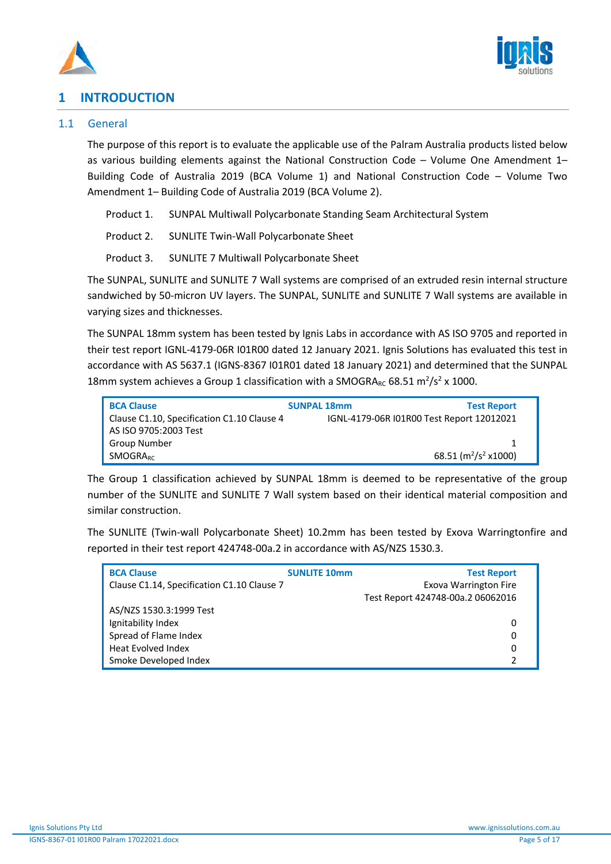



# **1 INTRODUCTION**

# 1.1 General

The purpose of this report is to evaluate the applicable use of the Palram Australia products listed below as various building elements against the National Construction Code – Volume One Amendment 1– Building Code of Australia 2019 (BCA Volume 1) and National Construction Code – Volume Two Amendment 1– Building Code of Australia 2019 (BCA Volume 2).

Product 1. SUNPAL Multiwall Polycarbonate Standing Seam Architectural System

Product 2. SUNLITE Twin-Wall Polycarbonate Sheet

Product 3. SUNLITE 7 Multiwall Polycarbonate Sheet

The SUNPAL, SUNLITE and SUNLITE 7 Wall systems are comprised of an extruded resin internal structure sandwiched by 50-micron UV layers. The SUNPAL, SUNLITE and SUNLITE 7 Wall systems are available in varying sizes and thicknesses.

The SUNPAL 18mm system has been tested by Ignis Labs in accordance with AS ISO 9705 and reported in their test report IGNL-4179-06R I01R00 dated 12 January 2021. Ignis Solutions has evaluated this test in accordance with AS 5637.1 (IGNS-8367 I01R01 dated 18 January 2021) and determined that the SUNPAL 18mm system achieves a Group 1 classification with a SMOGRA $_{RC}$  68.51 m<sup>2</sup>/s<sup>2</sup> x 1000.

| <b>BCA Clause</b>                          | <b>SUNPAL 18mm</b> | <b>Test Report</b>                        |  |  |
|--------------------------------------------|--------------------|-------------------------------------------|--|--|
| Clause C1.10, Specification C1.10 Clause 4 |                    | IGNL-4179-06R I01R00 Test Report 12012021 |  |  |
| AS ISO 9705:2003 Test                      |                    |                                           |  |  |
| Group Number                               |                    |                                           |  |  |
| <b>SMOGRARC</b>                            |                    | 68.51 ( $\frac{m^2}{s^2}$ x1000)          |  |  |

The Group 1 classification achieved by SUNPAL 18mm is deemed to be representative of the group number of the SUNLITE and SUNLITE 7 Wall system based on their identical material composition and similar construction.

The SUNLITE (Twin-wall Polycarbonate Sheet) 10.2mm has been tested by Exova Warringtonfire and reported in their test report 424748-00a.2 in accordance with AS/NZS 1530.3.

| <b>BCA Clause</b>                          | <b>SUNLITE 10mm</b> | <b>Test Report</b>                |
|--------------------------------------------|---------------------|-----------------------------------|
| Clause C1.14, Specification C1.10 Clause 7 |                     | <b>Exova Warrington Fire</b>      |
|                                            |                     | Test Report 424748-00a.2 06062016 |
| AS/NZS 1530.3:1999 Test                    |                     |                                   |
| Ignitability Index                         |                     | 0                                 |
| Spread of Flame Index                      |                     | 0                                 |
| Heat Evolved Index                         |                     | 0                                 |
| Smoke Developed Index                      |                     |                                   |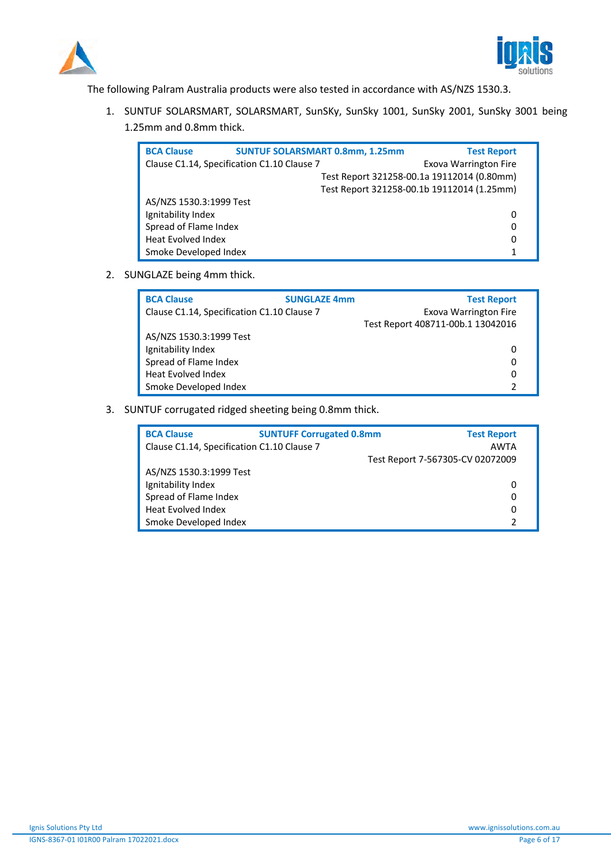



The following Palram Australia products were also tested in accordance with AS/NZS 1530.3.

1. SUNTUF SOLARSMART, SOLARSMART, SunSKy, SunSky 1001, SunSky 2001, SunSky 3001 being 1.25mm and 0.8mm thick.

| <b>BCA Clause</b>                          |  | <b>SUNTUF SOLARSMART 0.8mm, 1.25mm</b>     | <b>Test Report</b>           |
|--------------------------------------------|--|--------------------------------------------|------------------------------|
| Clause C1.14, Specification C1.10 Clause 7 |  |                                            | <b>Exova Warrington Fire</b> |
|                                            |  | Test Report 321258-00.1a 19112014 (0.80mm) |                              |
|                                            |  | Test Report 321258-00.1b 19112014 (1.25mm) |                              |
| AS/NZS 1530.3:1999 Test                    |  |                                            |                              |
| Ignitability Index                         |  |                                            | 0                            |
| Spread of Flame Index                      |  |                                            | 0                            |
| <b>Heat Evolved Index</b>                  |  |                                            | 0                            |
| Smoke Developed Index                      |  |                                            | 1                            |

2. SUNGLAZE being 4mm thick.

| <b>BCA Clause</b>                          | <b>SUNGLAZE 4mm</b>          | <b>Test Report</b>                |
|--------------------------------------------|------------------------------|-----------------------------------|
| Clause C1.14, Specification C1.10 Clause 7 | <b>Exova Warrington Fire</b> |                                   |
|                                            |                              | Test Report 408711-00b.1 13042016 |
| AS/NZS 1530.3:1999 Test                    |                              |                                   |
| Ignitability Index                         |                              | 0                                 |
| Spread of Flame Index                      |                              | 0                                 |
| <b>Heat Evolved Index</b>                  |                              | 0                                 |
| Smoke Developed Index                      |                              |                                   |

3. SUNTUF corrugated ridged sheeting being 0.8mm thick.

| <b>BCA Clause</b>                          | <b>SUNTUFF Corrugated 0.8mm</b> | <b>Test Report</b>               |
|--------------------------------------------|---------------------------------|----------------------------------|
| Clause C1.14, Specification C1.10 Clause 7 |                                 | <b>AWTA</b>                      |
|                                            |                                 | Test Report 7-567305-CV 02072009 |
| AS/NZS 1530.3:1999 Test                    |                                 |                                  |
| Ignitability Index                         |                                 | 0                                |
| Spread of Flame Index                      |                                 | 0                                |
| <b>Heat Evolved Index</b>                  |                                 | 0                                |
| Smoke Developed Index                      |                                 |                                  |
|                                            |                                 |                                  |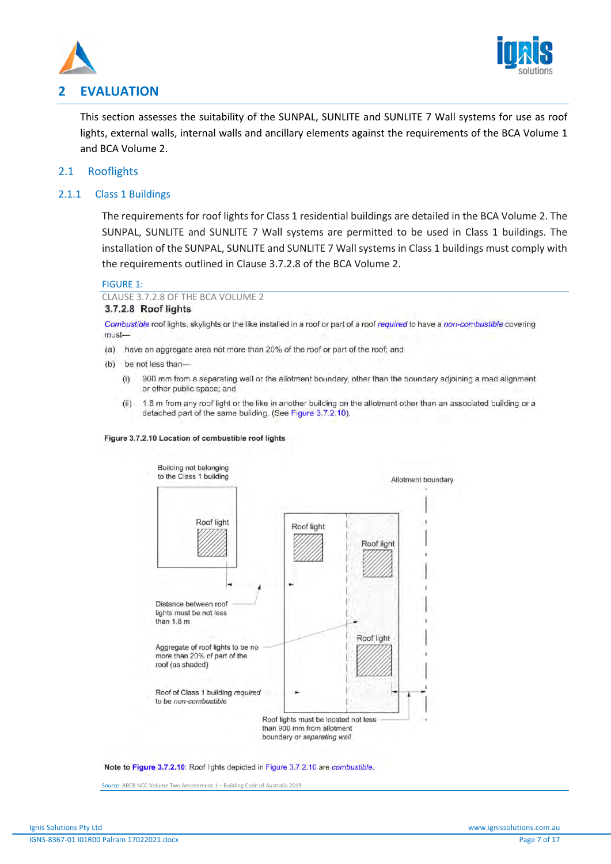



# **2 EVALUATION**

This section assesses the suitability of the SUNPAL, SUNLITE and SUNLITE 7 Wall systems for use as roof lights, external walls, internal walls and ancillary elements against the requirements of the BCA Volume 1 and BCA Volume 2.

# 2.1 Rooflights

# 2.1.1 Class 1 Buildings

The requirements for roof lights for Class 1 residential buildings are detailed in the BCA Volume 2. The SUNPAL, SUNLITE and SUNLITE 7 Wall systems are permitted to be used in Class 1 buildings. The installation of the SUNPAL, SUNLITE and SUNLITE 7 Wall systems in Class 1 buildings must comply with the requirements outlined in Clause 3.7.2.8 of the BCA Volume 2.

#### FIGURE 1:

CLAUSE 3.7.2.8 OF THE BCA VOLUME 2 3.7.2.8 Roof lights

Combustible roof lights, skylights or the like installed in a roof or part of a roof required to have a non-combustible covering must-

- (a) have an aggregate area not more than 20% of the roof or part of the roof; and
- (b) be not less than-
	- 900 mm from a separating wall or the allotment boundary, other than the boundary adjoining a road alignment  $(i)$ or other public space; and
	- $(ii)$ 1.8 m from any roof light or the like in another building on the allotment other than an associated building or a detached part of the same building. (See Figure 3.7.2.10).

#### Figure 3.7.2.10 Location of combustible roof lights



Note to Figure 3.7.2.10: Roof lights depicted in Figure 3.7.2.10 are combustible.

Source: ABCB NCC Volume Two Amendment 1 – Building Code of Australia 2019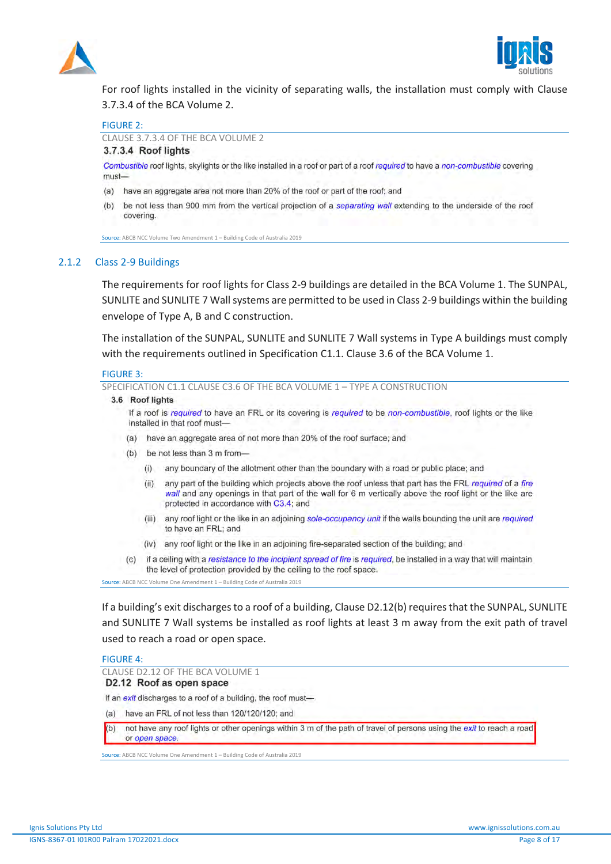



For roof lights installed in the vicinity of separating walls, the installation must comply with Clause 3.7.3.4 of the BCA Volume 2.

#### FIGURE 2:

CLAUSE 3.7.3.4 OF THE BCA VOLUME 2

### 3.7.3.4 Roof lights

Combustible roof lights, skylights or the like installed in a roof or part of a roof required to have a non-combustible covering must-

- (a) have an aggregate area not more than 20% of the roof or part of the roof; and
- be not less than 900 mm from the vertical projection of a separating wall extending to the underside of the roof  $(b)$ covering.

Source: ABCB NCC Volume Two Amendment 1 - Building Code of Australia 2019

## 2.1.2 Class 2-9 Buildings

The requirements for roof lights for Class 2-9 buildings are detailed in the BCA Volume 1. The SUNPAL, SUNLITE and SUNLITE 7 Wall systems are permitted to be used in Class 2-9 buildings within the building envelope of Type A, B and C construction.

The installation of the SUNPAL, SUNLITE and SUNLITE 7 Wall systems in Type A buildings must comply with the requirements outlined in Specification C1.1. Clause 3.6 of the BCA Volume 1.

#### FIGURE 3:

SPECIFICATION C1.1 CLAUSE C3.6 OF THE BCA VOLUME 1 – TYPE A CONSTRUCTION

#### 3.6 Roof lights

If a roof is required to have an FRL or its covering is required to be non-combustible, roof lights or the like installed in that roof must-

- (a) have an aggregate area of not more than 20% of the roof surface; and
- (b) be not less than 3 m from
	- any boundary of the allotment other than the boundary with a road or public place; and  $(i)$
	- any part of the building which projects above the roof unless that part has the FRL required of a fire  $(ii)$ wall and any openings in that part of the wall for 6 m vertically above the roof light or the like are protected in accordance with C3.4; and
	- $(iii)$ any roof light or the like in an adjoining sole-occupancy unit if the walls bounding the unit are required to have an FRL; and
	- (iv) any roof light or the like in an adjoining fire-separated section of the building; and
- if a ceiling with a resistance to the incipient spread of fire is required, be installed in a way that will maintain  $(c)$ the level of protection provided by the ceiling to the roof space.

**Source:** ABCB NCC Volume One Amendment 1 – Building Code of Australia 2019

If a building's exit discharges to a roof of a building, Clause D2.12(b) requires that the SUNPAL, SUNLITE and SUNLITE 7 Wall systems be installed as roof lights at least 3 m away from the exit path of travel used to reach a road or open space.

#### FIGURE 4:

CLAUSE D2.12 OF THE BCA VOLUME 1<br>D2.12 Roof as open space

If an exit discharges to a roof of a building, the roof must-

(a) have an FRL of not less than 120/120/120; and

 $(b)$ not have any roof lights or other openings within 3 m of the path of travel of persons using the exit to reach a road or open space

Source: ABCB NCC Volume One Amendment 1 – Building Code of Australia 2019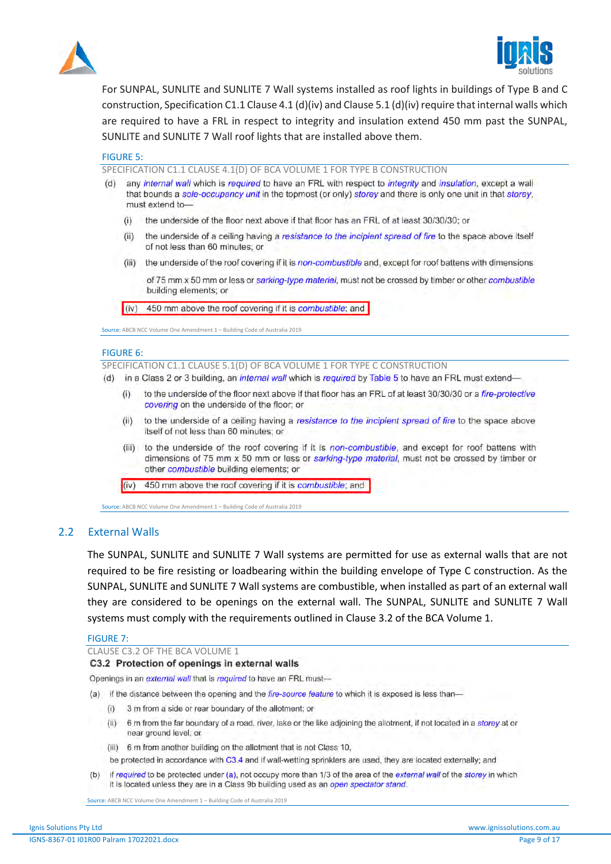



For SUNPAL, SUNLITE and SUNLITE 7 Wall systems installed as roof lights in buildings of Type B and C construction, Specification C1.1 Clause 4.1 (d)(iv) and Clause 5.1 (d)(iv) require that internal walls which are required to have a FRL in respect to integrity and insulation extend 450 mm past the SUNPAL, SUNLITE and SUNLITE 7 Wall roof lights that are installed above them.

#### FIGURE 5:

SPECIFICATION C1.1 CLAUSE 4.1(D) OF BCA VOLUME 1 FOR TYPE B CONSTRUCTION

- $(d)$ any internal wall which is required to have an FRL with respect to integrity and insulation, except a wall that bounds a sole-occupancy unit in the topmost (or only) storey and there is only one unit in that storey, must extend to
	- the underside of the floor next above if that floor has an FRL of at least 30/30/30; or  $(i)$
	- the underside of a ceiling having a resistance to the incipient spread of fire to the space above itself  $(ii)$ of not less than 60 minutes; or
	- the underside of the roof covering if it is non-combustible and, except for roof battens with dimensions  $(iii)$ 
		- of 75 mm x 50 mm or less or sarking-type material, must not be crossed by timber or other combustible building elements; or

 $(iv)$ 450 mm above the roof covering if it is combustible; and

Source: ABCB NCC Volume One Amendment 1 – Building Code of Australia 2019

#### FIGURE 6:

SPECIFICATION C1.1 CLAUSE 5.1(D) OF BCA VOLUME 1 FOR TYPE C CONSTRUCTION

- (d) in a Class 2 or 3 building, an *internal wall* which is required by Table 5 to have an FRL must extend
	- to the underside of the floor next above if that floor has an FRL of at least 30/30/30 or a fire-protective  $(i)$ covering on the underside of the floor; or
	- to the underside of a ceiling having a resistance to the incipient spread of fire to the space above  $(ii)$ itself of not less than 60 minutes; or
	- (iii) to the underside of the roof covering if it is non-combustible, and except for roof battens with dimensions of 75 mm x 50 mm or less or sarking-type material, must not be crossed by timber or other combustible building elements; or
	- 450 mm above the roof covering if it is combustible; and  $(iv)$

**Source:** ABCB NCC Volume One Amendment 1 – Building Code of Australia 2019

### 2.2 External Walls

The SUNPAL, SUNLITE and SUNLITE 7 Wall systems are permitted for use as external walls that are not required to be fire resisting or loadbearing within the building envelope of Type C construction. As the SUNPAL, SUNLITE and SUNLITE 7 Wall systems are combustible, when installed as part of an external wall they are considered to be openings on the external wall. The SUNPAL, SUNLITE and SUNLITE 7 Wall systems must comply with the requirements outlined in Clause 3.2 of the BCA Volume 1.

#### FIGURE 7:

#### CLAUSE C3.2 OF THE BCA VOLUME 1

C3.2 Protection of openings in external walls

Openings in an external wall that is required to have an FRL must-

- (a) if the distance between the opening and the fire-source feature to which it is exposed is less than-
	- 3 m from a side or rear boundary of the allotment; or  $(i)$
	- (ii) 6 m from the far boundary of a road, river, lake or the like adjoining the allotment, if not located in a storey at or near ground level; or
	- (iii) 6 m from another building on the allotment that is not Class 10,

be protected in accordance with C3.4 and if wall-wetting sprinklers are used, they are located externally; and

if required to be protected under (a), not occupy more than 1/3 of the area of the external wall of the storey in which  $(b)$ it is located unless they are in a Class 9b building used as an open spectator stand.

Source: ABCB NCC Volume One Amendment 1 – Building Code of Australia 2019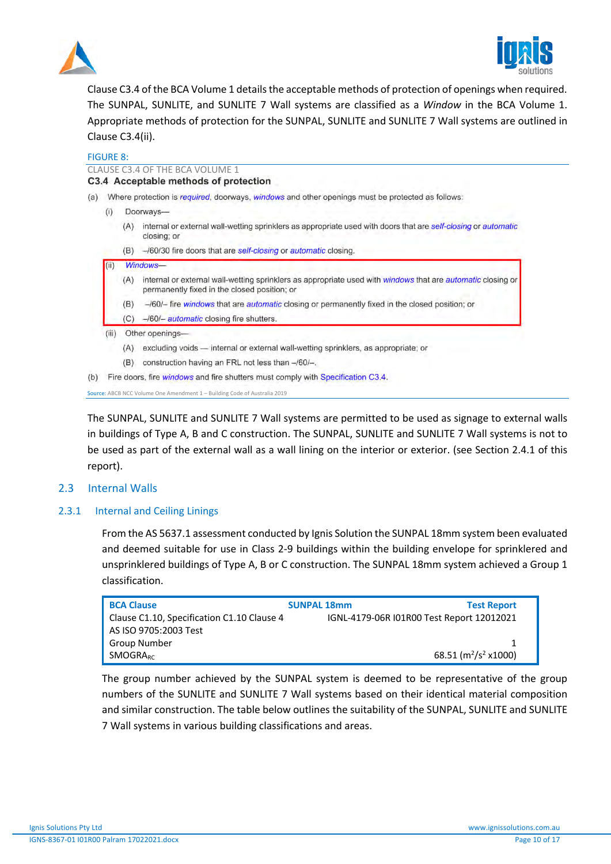



Clause C3.4 of the BCA Volume 1 details the acceptable methods of protection of openings when required. The SUNPAL, SUNLITE, and SUNLITE 7 Wall systems are classified as a *Window* in the BCA Volume 1. Appropriate methods of protection for the SUNPAL, SUNLITE and SUNLITE 7 Wall systems are outlined in Clause C3.4(ii).

FIGURE 8:

|     |       |                                                                                                  | CLAUSE C3.4 OF THE BCA VOLUME 1                                                                                                                             |  |  |  |  |
|-----|-------|--------------------------------------------------------------------------------------------------|-------------------------------------------------------------------------------------------------------------------------------------------------------------|--|--|--|--|
|     |       |                                                                                                  | C3.4 Acceptable methods of protection                                                                                                                       |  |  |  |  |
| (a) |       | Where protection is required, doorways, windows and other openings must be protected as follows: |                                                                                                                                                             |  |  |  |  |
|     | (i)   |                                                                                                  | Doorways-                                                                                                                                                   |  |  |  |  |
|     |       | (A)                                                                                              | internal or external wall-wetting sprinklers as appropriate used with doors that are self-closing or automatic<br>closing; or                               |  |  |  |  |
|     |       | (B)                                                                                              | -/60/30 fire doors that are self-closing or automatic closing.                                                                                              |  |  |  |  |
|     | (ii)  |                                                                                                  | Windows-                                                                                                                                                    |  |  |  |  |
|     |       | (A)                                                                                              | internal or external wall-wetting sprinklers as appropriate used with windows that are automatic closing or<br>permanently fixed in the closed position; or |  |  |  |  |
|     |       | (B)                                                                                              | -/60/- fire windows that are automatic closing or permanently fixed in the closed position; or                                                              |  |  |  |  |
|     |       | (C)                                                                                              | -/60/- <i>automatic</i> closing fire shutters.                                                                                                              |  |  |  |  |
|     | (iii) |                                                                                                  | Other openings-                                                                                                                                             |  |  |  |  |
|     |       | (A)                                                                                              | excluding voids - internal or external wall-wetting sprinklers, as appropriate; or                                                                          |  |  |  |  |
|     |       | (B)                                                                                              | construction having an FRL not less than -/60/-.                                                                                                            |  |  |  |  |
| (b) |       |                                                                                                  | Fire doors, fire <i>windows</i> and fire shutters must comply with Specification C3.4.                                                                      |  |  |  |  |
|     |       |                                                                                                  | Source: ABCB NCC Volume One Amendment 1 - Building Code of Australia 2019                                                                                   |  |  |  |  |

The SUNPAL, SUNLITE and SUNLITE 7 Wall systems are permitted to be used as signage to external walls in buildings of Type A, B and C construction. The SUNPAL, SUNLITE and SUNLITE 7 Wall systems is not to be used as part of the external wall as a wall lining on the interior or exterior. (see Section 2.4.1 of this report).

# 2.3 Internal Walls

# 2.3.1 Internal and Ceiling Linings

From the AS 5637.1 assessment conducted by Ignis Solution the SUNPAL 18mm system been evaluated and deemed suitable for use in Class 2-9 buildings within the building envelope for sprinklered and unsprinklered buildings of Type A, B or C construction. The SUNPAL 18mm system achieved a Group 1 classification.

| <b>BCA Clause</b>                          | <b>SUNPAL 18mm</b> | <b>Test Report</b>                        |  |  |
|--------------------------------------------|--------------------|-------------------------------------------|--|--|
| Clause C1.10, Specification C1.10 Clause 4 |                    | IGNL-4179-06R I01R00 Test Report 12012021 |  |  |
| AS ISO 9705:2003 Test                      |                    |                                           |  |  |
| Group Number                               |                    |                                           |  |  |
| <b>SMOGRARC</b>                            |                    | 68.51 ( $m^2/s^2$ x1000)                  |  |  |
|                                            |                    |                                           |  |  |

The group number achieved by the SUNPAL system is deemed to be representative of the group numbers of the SUNLITE and SUNLITE 7 Wall systems based on their identical material composition and similar construction. The table below outlines the suitability of the SUNPAL, SUNLITE and SUNLITE 7 Wall systems in various building classifications and areas.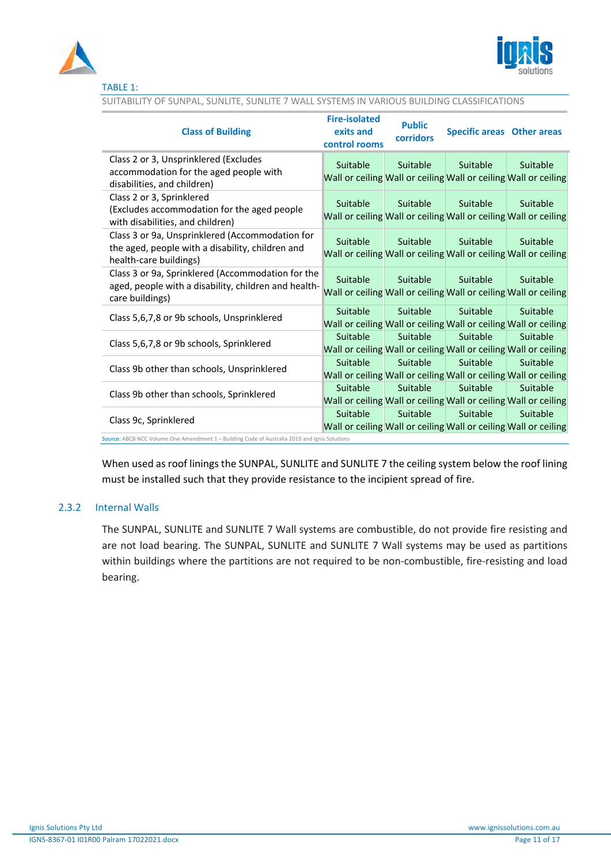



| <b>Class of Building</b>                                                                                                      | <b>Fire-isolated</b><br>exits and<br>control rooms | <b>Public</b><br>corridors | <b>Specific areas</b> Other areas |                                                                             |
|-------------------------------------------------------------------------------------------------------------------------------|----------------------------------------------------|----------------------------|-----------------------------------|-----------------------------------------------------------------------------|
| Class 2 or 3, Unsprinklered (Excludes<br>accommodation for the aged people with<br>disabilities, and children)                | Suitable                                           | Suitable                   | Suitable                          | Suitable<br>Wall or ceiling Wall or ceiling Wall or ceiling Wall or ceiling |
| Class 2 or 3, Sprinklered<br>(Excludes accommodation for the aged people<br>with disabilities, and children)                  | Suitable                                           | <b>Suitable</b>            | Suitable                          | Suitable<br>Wall or ceiling Wall or ceiling Wall or ceiling Wall or ceiling |
| Class 3 or 9a, Unsprinklered (Accommodation for<br>the aged, people with a disability, children and<br>health-care buildings) | Suitable                                           | Suitable                   | Suitable                          | Suitable<br>Wall or ceiling Wall or ceiling Wall or ceiling Wall or ceiling |
| Class 3 or 9a, Sprinklered (Accommodation for the<br>aged, people with a disability, children and health-<br>care buildings)  | Suitable                                           | Suitable                   | Suitable                          | Suitable<br>Wall or ceiling Wall or ceiling Wall or ceiling Wall or ceiling |
| Class 5,6,7,8 or 9b schools, Unsprinklered                                                                                    | Suitable                                           | Suitable                   | Suitable                          | Suitable<br>Wall or ceiling Wall or ceiling Wall or ceiling Wall or ceiling |
| Class 5,6,7,8 or 9b schools, Sprinklered                                                                                      | Suitable                                           | Suitable                   | Suitable                          | Suitable<br>Wall or ceiling Wall or ceiling Wall or ceiling Wall or ceiling |
| Class 9b other than schools, Unsprinklered                                                                                    | Suitable                                           | Suitable                   | Suitable                          | Suitable<br>Wall or ceiling Wall or ceiling Wall or ceiling Wall or ceiling |
| Class 9b other than schools, Sprinklered                                                                                      | Suitable                                           | Suitable                   | Suitable                          | Suitable<br>Wall or ceiling Wall or ceiling Wall or ceiling Wall or ceiling |
| Class 9c, Sprinklered                                                                                                         | Suitable                                           | Suitable                   | Suitable                          | Suitable<br>Wall or ceiling Wall or ceiling Wall or ceiling Wall or ceiling |

SUITABILITY OF SUNPAL, SUNLITE, SUNLITE 7 WALL SYSTEMS IN VARIOUS BUILDING CLASSIFICATIONS

Source: ABCB NCC Volume One Amendment 1 – Building Code of Australia 2019 and Ignis Solutions

When used as roof linings the SUNPAL, SUNLITE and SUNLITE 7 the ceiling system below the roof lining must be installed such that they provide resistance to the incipient spread of fire.

# 2.3.2 Internal Walls

The SUNPAL, SUNLITE and SUNLITE 7 Wall systems are combustible, do not provide fire resisting and are not load bearing. The SUNPAL, SUNLITE and SUNLITE 7 Wall systems may be used as partitions within buildings where the partitions are not required to be non-combustible, fire-resisting and load bearing.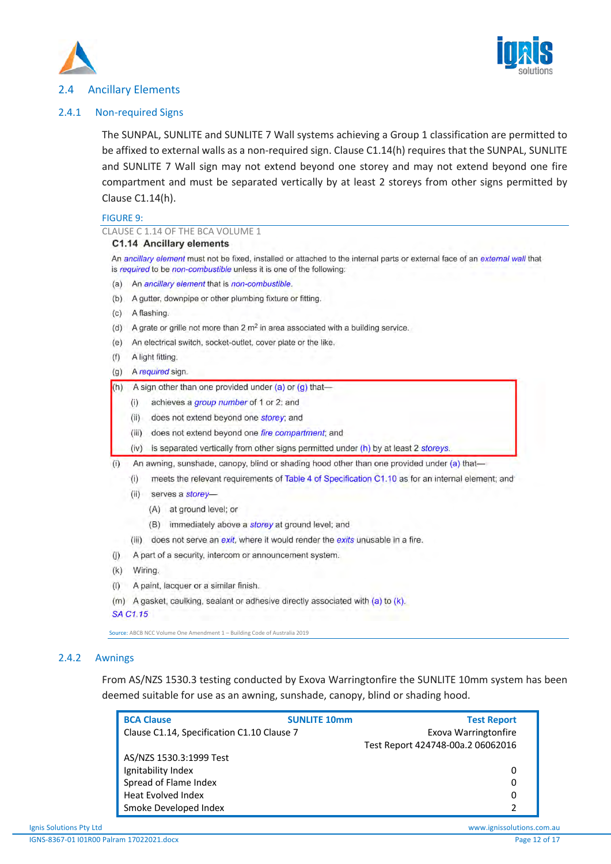



# 2.4 Ancillary Elements

## 2.4.1 Non-required Signs

The SUNPAL, SUNLITE and SUNLITE 7 Wall systems achieving a Group 1 classification are permitted to be affixed to external walls as a non-required sign. Clause C1.14(h) requires that the SUNPAL, SUNLITE and SUNLITE 7 Wall sign may not extend beyond one storey and may not extend beyond one fire compartment and must be separated vertically by at least 2 storeys from other signs permitted by Clause C1.14(h).

#### FIGURE 9:

| CLAUSE C 1.14 OF THE BCA VOLUME 1                                                                                                                                                                     |  |  |  |  |  |
|-------------------------------------------------------------------------------------------------------------------------------------------------------------------------------------------------------|--|--|--|--|--|
| C1.14 Ancillary elements                                                                                                                                                                              |  |  |  |  |  |
| An ancillary element must not be fixed, installed or attached to the internal parts or external face of an external wall that<br>is required to be non-combustible unless it is one of the following: |  |  |  |  |  |
| An ancillary element that is non-combustible.<br>(a)                                                                                                                                                  |  |  |  |  |  |
| A gutter, downpipe or other plumbing fixture or fitting.                                                                                                                                              |  |  |  |  |  |
| A flashing.<br>(c)                                                                                                                                                                                    |  |  |  |  |  |
| A grate or grille not more than $2 \text{ m}^2$ in area associated with a building service.                                                                                                           |  |  |  |  |  |
| An electrical switch, socket-outlet, cover plate or the like.                                                                                                                                         |  |  |  |  |  |
| A light fitting.                                                                                                                                                                                      |  |  |  |  |  |
| A required sign.                                                                                                                                                                                      |  |  |  |  |  |
| A sign other than one provided under $(a)$ or $(q)$ that-                                                                                                                                             |  |  |  |  |  |
| achieves a group number of 1 or 2; and<br>(i)                                                                                                                                                         |  |  |  |  |  |
| does not extend beyond one storey; and<br>(ii)                                                                                                                                                        |  |  |  |  |  |
| does not extend beyond one fire compartment; and<br>(iii)                                                                                                                                             |  |  |  |  |  |
| is separated vertically from other signs permitted under (h) by at least 2 storeys.<br>(iv)                                                                                                           |  |  |  |  |  |
| An awning, sunshade, canopy, blind or shading hood other than one provided under (a) that-                                                                                                            |  |  |  |  |  |
| meets the relevant requirements of Table 4 of Specification C1.10 as for an internal element; and<br>(i)                                                                                              |  |  |  |  |  |
| serves a storey-<br>(ii)                                                                                                                                                                              |  |  |  |  |  |
| at ground level; or<br>(A)                                                                                                                                                                            |  |  |  |  |  |
| immediately above a storey at ground level; and<br>(B)                                                                                                                                                |  |  |  |  |  |
| does not serve an exit, where it would render the exits unusable in a fire.<br>(iii)                                                                                                                  |  |  |  |  |  |
| A part of a security, intercom or announcement system.                                                                                                                                                |  |  |  |  |  |
| Wiring.                                                                                                                                                                                               |  |  |  |  |  |
| A paint, lacquer or a similar finish.                                                                                                                                                                 |  |  |  |  |  |
| A gasket, caulking, sealant or adhesive directly associated with (a) to (k).<br>(m)                                                                                                                   |  |  |  |  |  |
| <b>SA C1.15</b>                                                                                                                                                                                       |  |  |  |  |  |
|                                                                                                                                                                                                       |  |  |  |  |  |

Source: ABCB NCC Volume One Amendment 1 – Building Code of Australia 2019

# 2.4.2 Awnings

From AS/NZS 1530.3 testing conducted by Exova Warringtonfire the SUNLITE 10mm system has been deemed suitable for use as an awning, sunshade, canopy, blind or shading hood.

| <b>BCA Clause</b>                          | <b>SUNLITE 10mm</b>  | <b>Test Report</b>                |
|--------------------------------------------|----------------------|-----------------------------------|
| Clause C1.14, Specification C1.10 Clause 7 | Exova Warringtonfire |                                   |
|                                            |                      | Test Report 424748-00a.2 06062016 |
| AS/NZS 1530.3:1999 Test                    |                      |                                   |
| Ignitability Index                         |                      |                                   |
| Spread of Flame Index                      |                      |                                   |
| <b>Heat Evolved Index</b>                  |                      |                                   |
| Smoke Developed Index                      |                      |                                   |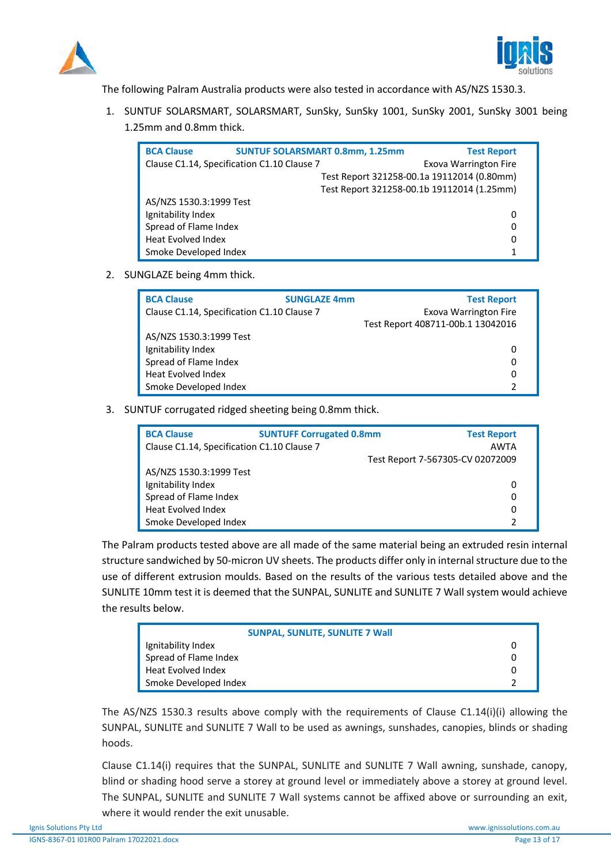



The following Palram Australia products were also tested in accordance with AS/NZS 1530.3.

1. SUNTUF SOLARSMART, SOLARSMART, SunSky, SunSky 1001, SunSky 2001, SunSky 3001 being 1.25mm and 0.8mm thick.

| <b>BCA Clause</b>                          | <b>SUNTUF SOLARSMART 0.8mm, 1.25mm</b> |                                            | <b>Test Report</b>           |
|--------------------------------------------|----------------------------------------|--------------------------------------------|------------------------------|
| Clause C1.14, Specification C1.10 Clause 7 |                                        |                                            | <b>Exova Warrington Fire</b> |
|                                            |                                        | Test Report 321258-00.1a 19112014 (0.80mm) |                              |
|                                            |                                        | Test Report 321258-00.1b 19112014 (1.25mm) |                              |
| AS/NZS 1530.3:1999 Test                    |                                        |                                            |                              |
| Ignitability Index                         |                                        |                                            | 0                            |
| Spread of Flame Index                      |                                        |                                            | 0                            |
| <b>Heat Evolved Index</b>                  |                                        |                                            | 0                            |
| Smoke Developed Index                      |                                        |                                            |                              |

2. SUNGLAZE being 4mm thick.

| <b>BCA Clause</b>                          | <b>SUNGLAZE 4mm</b> | <b>Test Report</b>                |
|--------------------------------------------|---------------------|-----------------------------------|
| Clause C1.14, Specification C1.10 Clause 7 |                     | <b>Exova Warrington Fire</b>      |
|                                            |                     | Test Report 408711-00b.1 13042016 |
| AS/NZS 1530.3:1999 Test                    |                     |                                   |
| Ignitability Index                         |                     | 0                                 |
| Spread of Flame Index                      |                     | 0                                 |
| <b>Heat Evolved Index</b>                  |                     | 0                                 |
| Smoke Developed Index                      |                     | っ                                 |

3. SUNTUF corrugated ridged sheeting being 0.8mm thick.

| <b>BCA Clause</b>                          | <b>SUNTUFF Corrugated 0.8mm</b> | <b>Test Report</b>               |
|--------------------------------------------|---------------------------------|----------------------------------|
| Clause C1.14, Specification C1.10 Clause 7 |                                 | <b>AWTA</b>                      |
|                                            |                                 | Test Report 7-567305-CV 02072009 |
| AS/NZS 1530.3:1999 Test                    |                                 |                                  |
| Ignitability Index                         |                                 | 0                                |
| Spread of Flame Index                      |                                 | 0                                |
| Heat Evolved Index                         |                                 | 0                                |
| Smoke Developed Index                      |                                 |                                  |

The Palram products tested above are all made of the same material being an extruded resin internal structure sandwiched by 50-micron UV sheets. The products differ only in internal structure due to the use of different extrusion moulds. Based on the results of the various tests detailed above and the SUNLITE 10mm test it is deemed that the SUNPAL, SUNLITE and SUNLITE 7 Wall system would achieve the results below.

| <b>SUNPAL, SUNLITE, SUNLITE 7 Wall</b> |  |
|----------------------------------------|--|
| Ignitability Index                     |  |
| Spread of Flame Index                  |  |
| Heat Evolved Index                     |  |
| Smoke Developed Index                  |  |

The AS/NZS 1530.3 results above comply with the requirements of Clause C1.14(i)(i) allowing the SUNPAL, SUNLITE and SUNLITE 7 Wall to be used as awnings, sunshades, canopies, blinds or shading hoods.

Clause C1.14(i) requires that the SUNPAL, SUNLITE and SUNLITE 7 Wall awning, sunshade, canopy, blind or shading hood serve a storey at ground level or immediately above a storey at ground level. The SUNPAL, SUNLITE and SUNLITE 7 Wall systems cannot be affixed above or surrounding an exit, where it would render the exit unusable.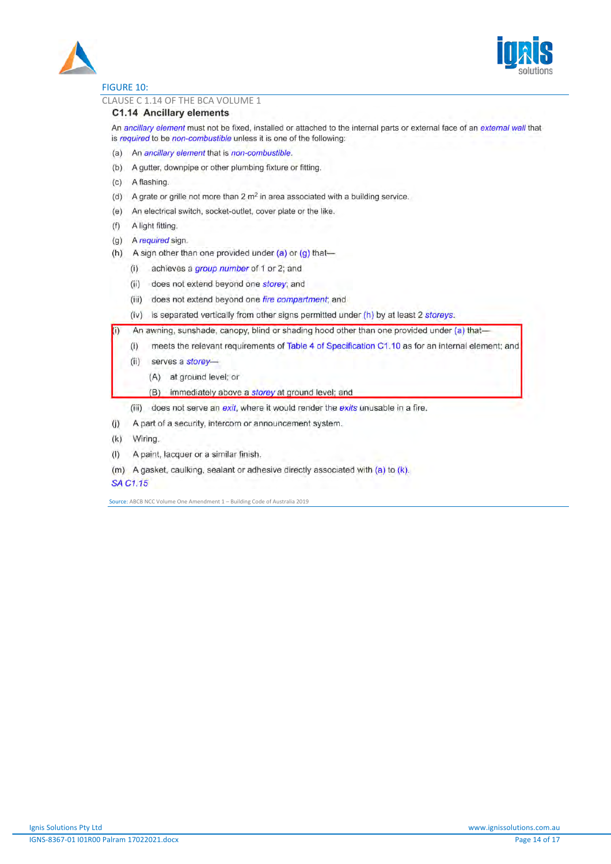



# FIGURE 10:

#### CLAUSE C 1.14 OF THE BCA VOLUME 1

## C1.14 Ancillary elements

An ancillary element must not be fixed, installed or attached to the internal parts or external face of an external wall that is required to be non-combustible unless it is one of the following:

- (a) An ancillary element that is non-combustible.
- (b) A gutter, downpipe or other plumbing fixture or fitting.
- (c) A flashing.
- (d) A grate or grille not more than  $2 \text{ m}^2$  in area associated with a building service.
- (e) An electrical switch, socket-outlet, cover plate or the like.
- A light fitting.  $(f)$
- (g) A required sign.
- A sign other than one provided under (a) or (g) that- $(h)$ 
	- achieves a group number of 1 or 2; and  $(i)$
	- (ii) does not extend beyond one storey; and
	- $(iii)$ does not extend beyond one fire compartment; and
	- (iv) is separated vertically from other signs permitted under  $(h)$  by at least 2 storeys.

An awning, sunshade, canopy, blind or shading hood other than one provided under (a) that-

- $(i)$ meets the relevant requirements of Table 4 of Specification C1.10 as for an internal element; and
- $(ii)$  serves a storey-
	- (A) at ground level; or
	- (B) immediately above a storey at ground level; and
- (iii) does not serve an exit, where it would render the exits unusable in a fire.
- (i) A part of a security, intercom or announcement system.
- (k) Wiring.
- $(1)$ A paint, lacquer or a similar finish.
- (m) A gasket, caulking, sealant or adhesive directly associated with  $(a)$  to  $(k)$ .

**SA C1.15** 

Source: ABCB NCC Volume One Amendment 1 – Building Code of Australia 2019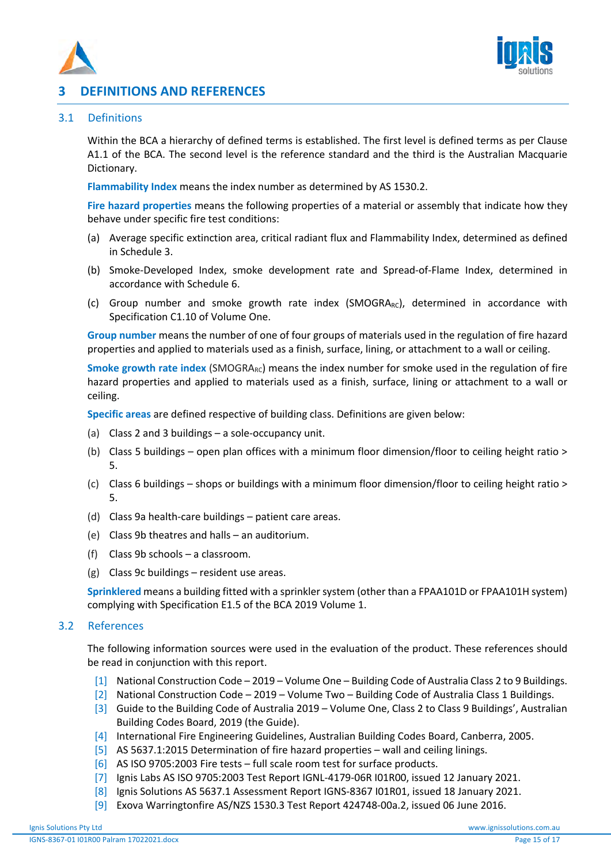



# **3 DEFINITIONS AND REFERENCES**

# 3.1 Definitions

Within the BCA a hierarchy of defined terms is established. The first level is defined terms as per Clause A1.1 of the BCA. The second level is the reference standard and the third is the Australian Macquarie Dictionary.

**Flammability Index** means the index number as determined by AS 1530.2.

**Fire hazard properties** means the following properties of a material or assembly that indicate how they behave under specific fire test conditions:

- (a) Average specific extinction area, critical radiant flux and Flammability Index, determined as defined in Schedule 3.
- (b) Smoke-Developed Index, smoke development rate and Spread-of-Flame Index, determined in accordance with Schedule 6.
- (c) Group number and smoke growth rate index (SMOGRA $_{RC}$ ), determined in accordance with Specification C1.10 of Volume One.

**Group number** means the number of one of four groups of materials used in the regulation of fire hazard properties and applied to materials used as a finish, surface, lining, or attachment to a wall or ceiling.

**Smoke growth rate index** (SMOGRA<sub>RC</sub>) means the index number for smoke used in the regulation of fire hazard properties and applied to materials used as a finish, surface, lining or attachment to a wall or ceiling.

**Specific areas** are defined respective of building class. Definitions are given below:

- (a) Class 2 and 3 buildings a sole-occupancy unit.
- (b) Class 5 buildings open plan offices with a minimum floor dimension/floor to ceiling height ratio > 5.
- (c) Class 6 buildings shops or buildings with a minimum floor dimension/floor to ceiling height ratio > 5.
- (d) Class 9a health-care buildings patient care areas.
- (e) Class 9b theatres and halls an auditorium.
- (f) Class 9b schools a classroom.
- (g) Class 9c buildings resident use areas.

**Sprinklered** means a building fitted with a sprinkler system (other than a FPAA101D or FPAA101H system) complying with Specification E1.5 of the BCA 2019 Volume 1.

# 3.2 References

The following information sources were used in the evaluation of the product. These references should be read in conjunction with this report.

- [1] National Construction Code 2019 Volume One Building Code of Australia Class 2 to 9 Buildings.
- [2] National Construction Code 2019 Volume Two Building Code of Australia Class 1 Buildings.
- [3] Guide to the Building Code of Australia 2019 Volume One, Class 2 to Class 9 Buildings', Australian Building Codes Board, 2019 (the Guide).
- [4] International Fire Engineering Guidelines, Australian Building Codes Board, Canberra, 2005.
- [5] AS 5637.1:2015 Determination of fire hazard properties wall and ceiling linings.
- [6] AS ISO 9705:2003 Fire tests full scale room test for surface products.
- [7] Ignis Labs AS ISO 9705:2003 Test Report IGNL-4179-06R I01R00, issued 12 January 2021.
- [8] Ignis Solutions AS 5637.1 Assessment Report IGNS-8367 I01R01, issued 18 January 2021.
- [9] Exova Warringtonfire AS/NZS 1530.3 Test Report 424748-00a.2, issued 06 June 2016.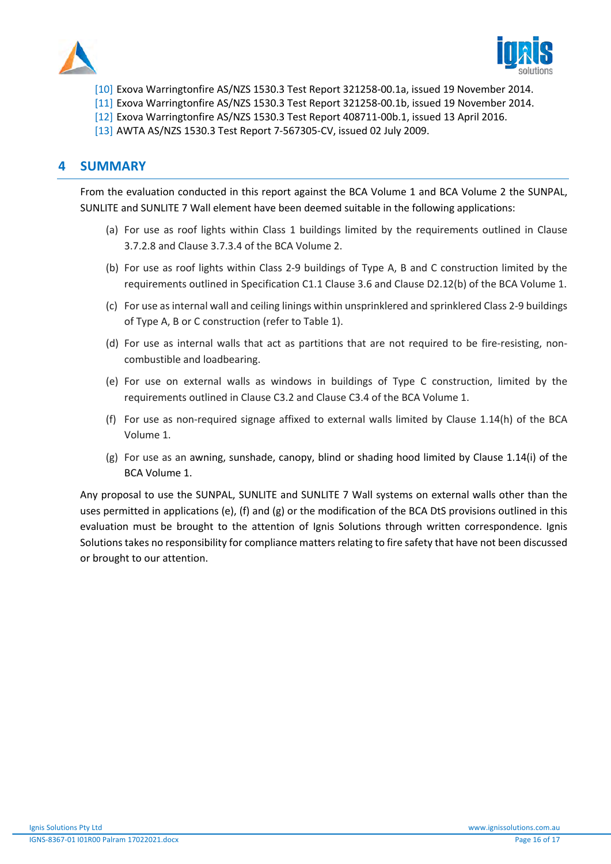



- [10] Exova Warringtonfire AS/NZS 1530.3 Test Report 321258-00.1a, issued 19 November 2014.
- [11] Exova Warringtonfire AS/NZS 1530.3 Test Report 321258-00.1b, issued 19 November 2014.
- [12] Exova Warringtonfire AS/NZS 1530.3 Test Report 408711-00b.1, issued 13 April 2016.
- [13] AWTA AS/NZS 1530.3 Test Report 7-567305-CV, issued 02 July 2009.

# **4 SUMMARY**

From the evaluation conducted in this report against the BCA Volume 1 and BCA Volume 2 the SUNPAL, SUNLITE and SUNLITE 7 Wall element have been deemed suitable in the following applications:

- (a) For use as roof lights within Class 1 buildings limited by the requirements outlined in Clause 3.7.2.8 and Clause 3.7.3.4 of the BCA Volume 2.
- (b) For use as roof lights within Class 2-9 buildings of Type A, B and C construction limited by the requirements outlined in Specification C1.1 Clause 3.6 and Clause D2.12(b) of the BCA Volume 1.
- (c) For use as internal wall and ceiling linings within unsprinklered and sprinklered Class 2-9 buildings of Type A, B or C construction (refer to Table 1).
- (d) For use as internal walls that act as partitions that are not required to be fire-resisting, noncombustible and loadbearing.
- (e) For use on external walls as windows in buildings of Type C construction, limited by the requirements outlined in Clause C3.2 and Clause C3.4 of the BCA Volume 1.
- (f) For use as non-required signage affixed to external walls limited by Clause 1.14(h) of the BCA Volume 1.
- (g) For use as an awning, sunshade, canopy, blind or shading hood limited by Clause 1.14(i) of the BCA Volume 1.

Any proposal to use the SUNPAL, SUNLITE and SUNLITE 7 Wall systems on external walls other than the uses permitted in applications (e), (f) and (g) or the modification of the BCA DtS provisions outlined in this evaluation must be brought to the attention of Ignis Solutions through written correspondence. Ignis Solutions takes no responsibility for compliance matters relating to fire safety that have not been discussed or brought to our attention.